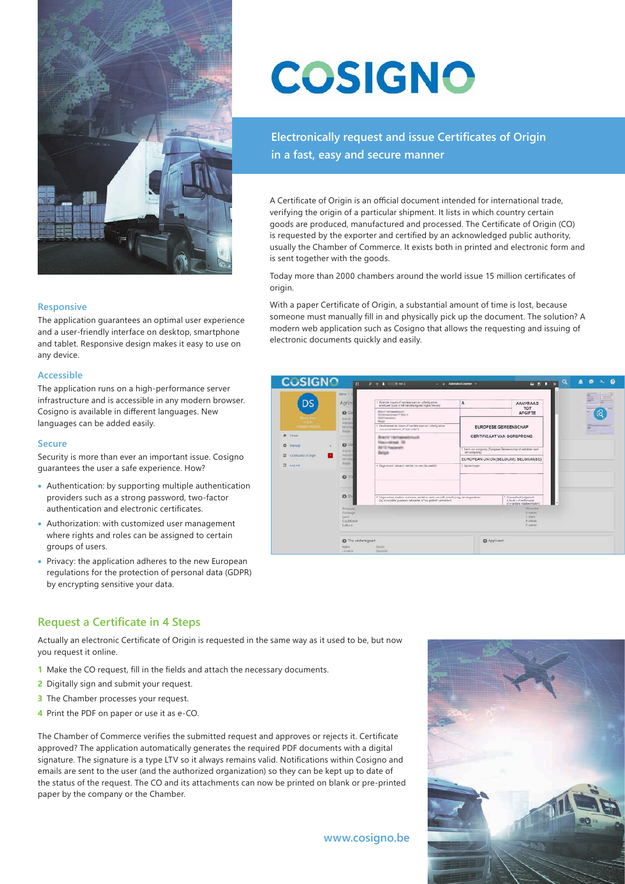

#### **Responsive**

The application guarantees an optimal user experience and a user-friendly interface on desktop, smartphone and tablet. Responsive design makes it easy to use on any device.

#### **Accessible**

The application runs on a high-performance server infrastructure and is accessible in any modern browser. Cosigno is available in different languages. New languages can be added easily.

#### **Secure**

Security is more than ever an important issue. Cosigno guarantees the user a safe experience. How?

- Authentication: by supporting multiple authentication providers such as a strong password, two-factor authentication and electronic certificates.
- Authorization: with customized user management where rights and roles can be assigned to certain groups of users.
- Privacy: the application adheres to the new European regulations for the protection of personal data (GDPR) by encrypting sensitive your data.

# **COSIGNO**

**Electronically request and issue Certificates of Origin in a fast, easy and secure manner**

A Certificate of Origin is an official document intended for international trade, verifying the origin of a particular shipment. It lists in which country certain goods are produced, manufactured and processed. The Certificate of Origin (CO) is requested by the exporter and certified by an acknowledged public authority, usually the Chamber of Commerce. It exists both in printed and electronic form and is sent together with the goods.

Today more than 2០០០ chambers around the world issue 15 million certificates of origin.

With a paper Certificate of Origin, a substantial amount of time is lost, because someone must manually fill in and physically pick up the document. The solution? A modern web application such as Cosigno that allows the requesting and issuing of electronic documents quickly and easily.



### **Request a Certificate in 4 Steps**

Actually an electronic Certificate of Origin is requested in the same way as it used to be, but now you request it online.

- **1** Make the CO request, fill in the fields and attach the necessary documents.
- **2** Digitally sign and submit your request.
- **3** The Chamber processes your request.
- **4** Print the PDF on paper or use it as e-CO.

The Chamber of Commerce verifies the submitted request and approves or rejects it. Certificate approved? The application automatically generates the required PDF documents with a digital signature. The signature is a type LTV so it always remains valid. Notifications within Cosigno and emails are sent to the user (and the authorized organization) so they can be kept up to date of the status of the request. The CO and its attachments can now be printed on blank or pre-printed paper by the company or the Chamber.

**www.cosigno.be**